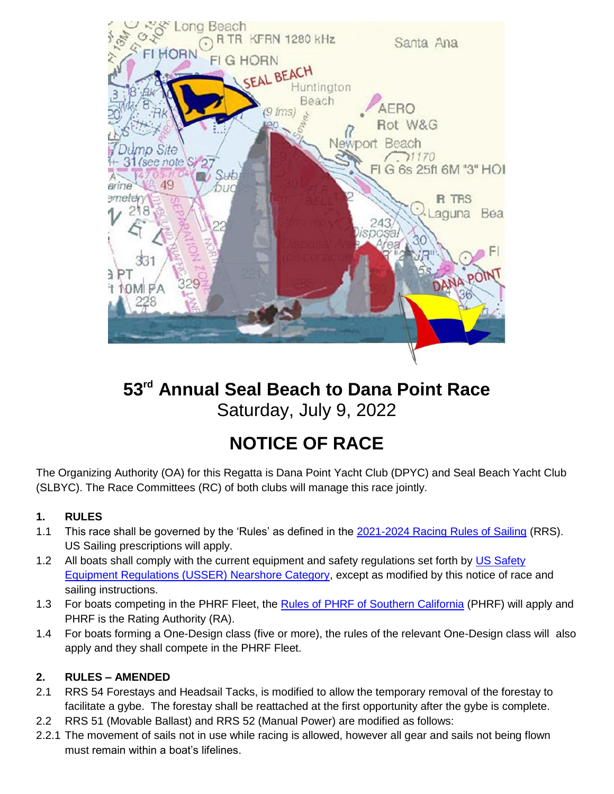

## **53rd Annual Seal Beach to Dana Point Race**  Saturday, July 9, 2022

# **NOTICE OF RACE**

The Organizing Authority (OA) for this Regatta is Dana Point Yacht Club (DPYC) and Seal Beach Yacht Club (SLBYC). The Race Committees (RC) of both clubs will manage this race jointly.

## **1. RULES**

- 1.1 This race shall be governed by the 'Rules' as defined in the [2021-2024 Racing Rules of Sailing](https://www.ussailing.org/competition/rules-officiating/the-racing-rules-of-sailing-2021-2024/) (RRS). US Sailing prescriptions will apply.
- 1.2 All boats shall comply with the current equipment and safety regulations set forth by [US Safety](https://cdn.ussailing.org/wp-content/uploads/2022/01/Monohull-SER-2022.0-Nearshore.pdf) [Equipment Regulations \(USSER\) Nearshore Category,](https://cdn.ussailing.org/wp-content/uploads/2022/01/Monohull-SER-2022.0-Nearshore.pdf) except as modified by this notice of race and sailing instructions.
- 1.3 For boats competing in the PHRF Fleet, the [Rules of PHRF of Southern California](https://phrfsocal.org/index.php/rules-bylaws/) (PHRF) will apply and PHRF is the Rating Authority (RA).
- 1.4 For boats forming a One-Design class (five or more), the rules of the relevant One-Design class will also apply and they shall compete in the PHRF Fleet.

## **2. RULES – AMENDED**

- 2.1 RRS 54 Forestays and Headsail Tacks, is modified to allow the temporary removal of the forestay to facilitate a gybe. The forestay shall be reattached at the first opportunity after the gybe is complete.
- 2.2 RRS 51 (Movable Ballast) and RRS 52 (Manual Power) are modified as follows:
- 2.2.1 The movement of sails not in use while racing is allowed, however all gear and sails not being flown must remain within a boat's lifelines.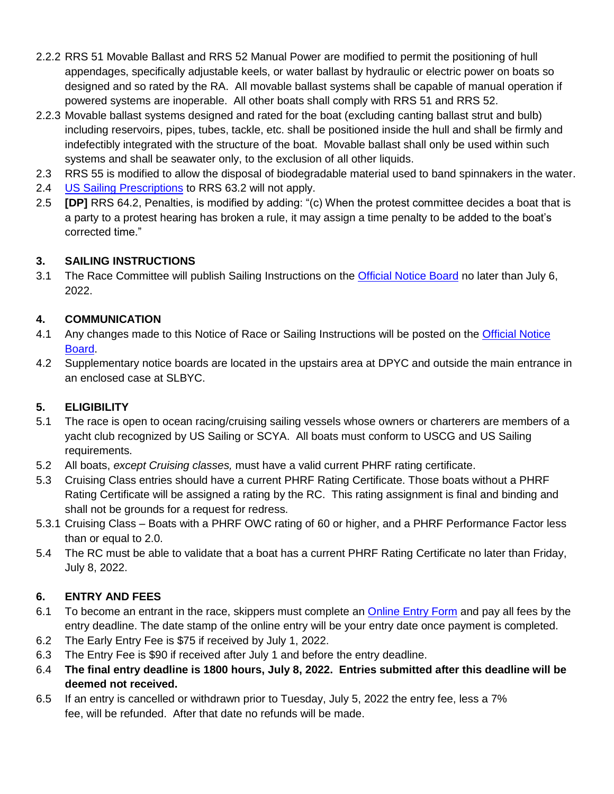- 2.2.2 RRS 51 Movable Ballast and RRS 52 Manual Power are modified to permit the positioning of hull appendages, specifically adjustable keels, or water ballast by hydraulic or electric power on boats so designed and so rated by the RA. All movable ballast systems shall be capable of manual operation if powered systems are inoperable. All other boats shall comply with RRS 51 and RRS 52.
- 2.2.3 Movable ballast systems designed and rated for the boat (excluding canting ballast strut and bulb) including reservoirs, pipes, tubes, tackle, etc. shall be positioned inside the hull and shall be firmly and indefectibly integrated with the structure of the boat. Movable ballast shall only be used within such systems and shall be seawater only, to the exclusion of all other liquids.
- 2.3 RRS 55 is modified to allow the disposal of biodegradable material used to band spinnakers in the water.
- 2.4 [US Sailing Prescriptions](https://cdn.ussailing.org/wp-content/uploads/2018/01/2021-2024-US-Prescriptions-Final.pdf) to RRS 63.2 will not apply.
- 2.5 **[DP]** RRS 64.2, Penalties, is modified by adding: "(c) When the protest committee decides a boat that is a party to a protest hearing has broken a rule, it may assign a time penalty to be added to the boat's corrected time."

#### **3. SAILING INSTRUCTIONS**

3.1 The Race Committee will publish Sailing Instructions on the [Official Notice Board](https://www.regattanetwork.com/event/24774) no later than July 6, 2022.

#### **4. COMMUNICATION**

- 4.1 Any changes made to this Notice of Race or Sailing Instructions will be posted on the [Official Notice](https://www.regattanetwork.com/event/24774) [Board.](https://www.regattanetwork.com/event/24774)
- 4.2 Supplementary notice boards are located in the upstairs area at DPYC and outside the main entrance in an enclosed case at SLBYC.

## **5. ELIGIBILITY**

- 5.1 The race is open to ocean racing/cruising sailing vessels whose owners or charterers are members of a yacht club recognized by US Sailing or SCYA. All boats must conform to USCG and US Sailing requirements.
- 5.2 All boats, *except Cruising classes,* must have a valid current PHRF rating certificate.
- 5.3 Cruising Class entries should have a current PHRF Rating Certificate. Those boats without a PHRF Rating Certificate will be assigned a rating by the RC. This rating assignment is final and binding and shall not be grounds for a request for redress.
- 5.3.1 Cruising Class Boats with a PHRF OWC rating of 60 or higher, and a PHRF Performance Factor less than or equal to 2.0.
- 5.4 The RC must be able to validate that a boat has a current PHRF Rating Certificate no later than Friday, July 8, 2022.

## **6. ENTRY AND FEES**

- 6.1 To become an entrant in the race, skippers must complete an [Online Entry Form](https://www.regattanetwork.com/clubmgmt/applet_registration_form.php?regatta_id=24774) and pay all fees by the entry deadline. The date stamp of the online entry will be your entry date once payment is completed.
- 6.2 The Early Entry Fee is \$75 if received by July 1, 2022.
- 6.3 The Entry Fee is \$90 if received after July 1 and before the entry deadline.
- 6.4 **The final entry deadline is 1800 hours, July 8, 2022. Entries submitted after this deadline will be deemed not received.**
- 6.5 If an entry is cancelled or withdrawn prior to Tuesday, July 5, 2022 the entry fee, less a 7% fee, will be refunded. After that date no refunds will be made.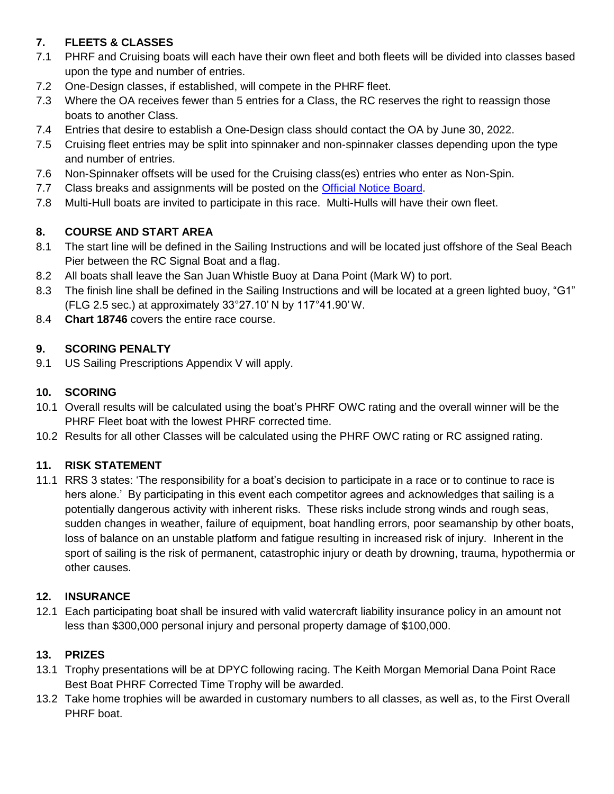## **7. FLEETS & CLASSES**

- 7.1 PHRF and Cruising boats will each have their own fleet and both fleets will be divided into classes based upon the type and number of entries.
- 7.2 One-Design classes, if established, will compete in the PHRF fleet.
- 7.3 Where the OA receives fewer than 5 entries for a Class, the RC reserves the right to reassign those boats to another Class.
- 7.4 Entries that desire to establish a One-Design class should contact the OA by June 30, 2022.
- 7.5 Cruising fleet entries may be split into spinnaker and non-spinnaker classes depending upon the type and number of entries.
- 7.6 Non-Spinnaker offsets will be used for the Cruising class(es) entries who enter as Non-Spin.
- 7.7 Class breaks and assignments will be posted on the [Official Notice Board.](https://www.regattanetwork.com/event/24774)
- 7.8 Multi-Hull boats are invited to participate in this race. Multi-Hulls will have their own fleet.

## **8. COURSE AND START AREA**

- 8.1 The start line will be defined in the Sailing Instructions and will be located just offshore of the Seal Beach Pier between the RC Signal Boat and a flag.
- 8.2 All boats shall leave the San Juan Whistle Buoy at Dana Point (Mark W) to port.
- 8.3 The finish line shall be defined in the Sailing Instructions and will be located at a green lighted buoy, "G1" (FLG 2.5 sec.) at approximately 33°27.10' N by 117°41.90'W.
- 8.4 **Chart 18746** covers the entire race course.

#### **9. SCORING PENALTY**

9.1 US Sailing Prescriptions Appendix V will apply.

#### **10. SCORING**

- 10.1 Overall results will be calculated using the boat's PHRF OWC rating and the overall winner will be the PHRF Fleet boat with the lowest PHRF corrected time.
- 10.2 Results for all other Classes will be calculated using the PHRF OWC rating or RC assigned rating.

#### **11. RISK STATEMENT**

11.1 RRS 3 states: 'The responsibility for a boat's decision to participate in a race or to continue to race is hers alone.' By participating in this event each competitor agrees and acknowledges that sailing is a potentially dangerous activity with inherent risks. These risks include strong winds and rough seas, sudden changes in weather, failure of equipment, boat handling errors, poor seamanship by other boats, loss of balance on an unstable platform and fatigue resulting in increased risk of injury. Inherent in the sport of sailing is the risk of permanent, catastrophic injury or death by drowning, trauma, hypothermia or other causes.

#### **12. INSURANCE**

12.1 Each participating boat shall be insured with valid watercraft liability insurance policy in an amount not less than \$300,000 personal injury and personal property damage of \$100,000.

## **13. PRIZES**

- 13.1 Trophy presentations will be at DPYC following racing. The Keith Morgan Memorial Dana Point Race Best Boat PHRF Corrected Time Trophy will be awarded.
- 13.2 Take home trophies will be awarded in customary numbers to all classes, as well as, to the First Overall PHRF boat.